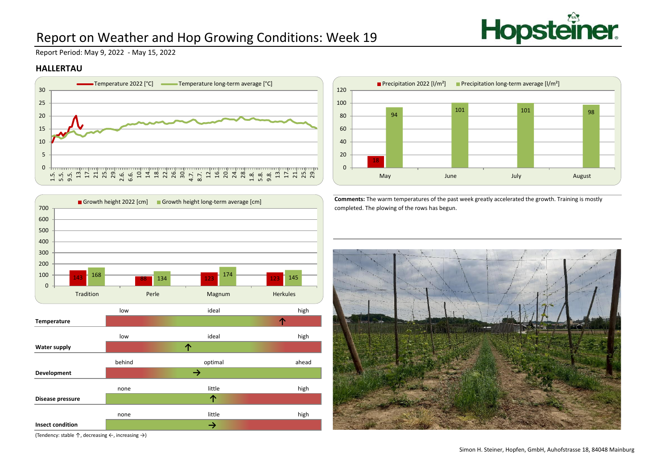

## Report on Weather and Hop Growing Conditions: Week 19

Report Period: May 9, 2022 - May 15, 2022

### **HALLERTAU**





(Tendency: stable ↑, decreasing ←, increasing →)



**Comments:** The warm temperatures of the past week greatly accelerated the growth. Training is mostly completed. The plowing of the rows has begun.

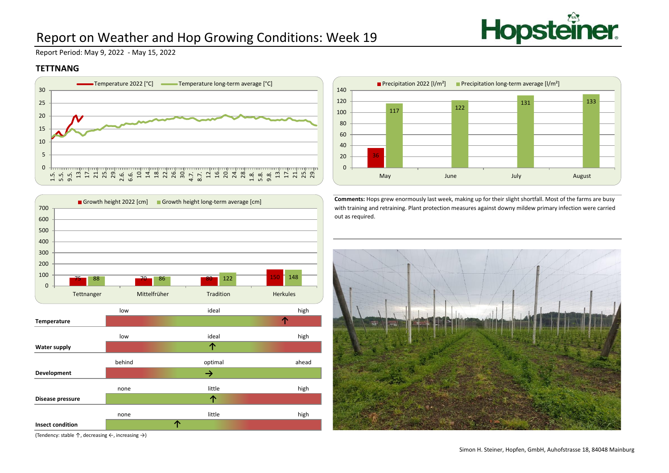

# Report on Weather and Hop Growing Conditions: Week 19

Report Period: May 9, 2022 - May 15, 2022

### **TETTNANG**



Growth height 2022 [cm] Growth height long-term average [cm]



**Comments:** Hops grew enormously last week, making up for their slight shortfall. Most of the farms are busy with training and retraining. Plant protection measures against downy mildew primary infection were carried out as required.





(Tendency: stable ↑, decreasing ←, increasing →)